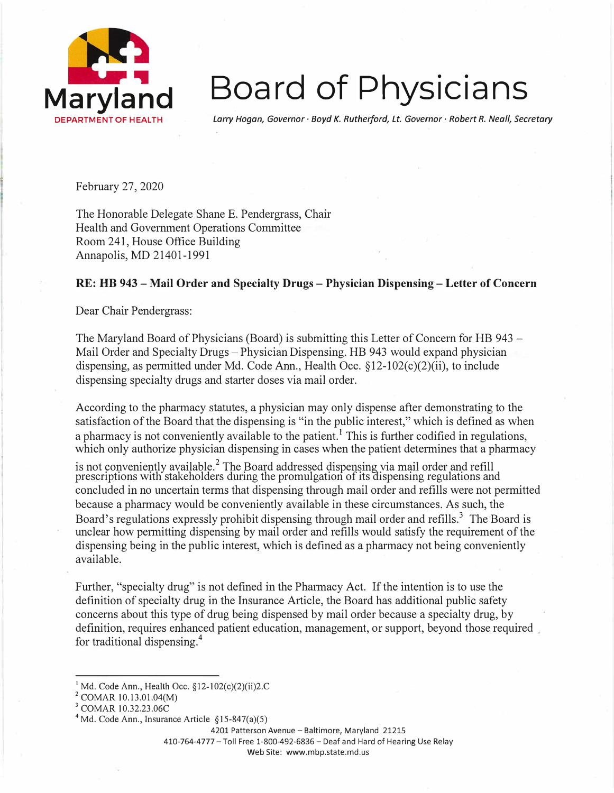

## **Board of Physicians**

*Larry Hogan, Governor· Boyd K. Rutherford, Lt. Governor· Robert R. Neall, Secretary* 

February 27, 2020

The Honorable Delegate Shane E. Pendergrass, Chair Health and Government Operations Committee Room 241, House Office Building Annapolis, MD 21401-1991

## **RE: HB 943 - Mail Order and Specialty Drugs - Physician Dispensing - Letter of Concern**

Dear Chair Pendergrass:

The Maryland Board of Physicians (Board) is submitting this Letter of Concern for HB 943 - Mail Order and Specialty Drugs - Physician Dispensing. HB 943 would expand physician dispensing, as permitted under Md. Code Ann., Health Occ.  $\S 12-102(c)(2)(ii)$ , to include dispensing specialty drugs and starter doses via mail order.

According to the pharmacy statutes, a physician may only dispense after demonstrating to the satisfaction of the Board that the dispensing is "in the public interest," which is defined as when a pharmacy is not conveniently available to the patient.<sup>1</sup> This is further codified in regulations, which only authorize physician dispensing in cases when the patient determines that a pharmacy

is not conveniently available.<sup>2</sup> The Board addressed dispensing via mail order and refill prescriptions with stakeholders during the promulgation of its dispensing regulations and concluded in no uncertain terms that dispensing through mail order and refills were not permitted because a pharmacy would be conveniently available in these circumstances. As such, the Board's regulations expressly prohibit dispensing through mail order and refills.<sup>3</sup> The Board is unclear how permitting dispensing by mail order and refills would satisfy the requirement of the dispensing being in the public interest, which is defined as a pharmacy not being conveniently available.

Further, "specialty drug" is not defined in the Pharmacy Act. If the intention is to use the definition of specialty drug in the Insurance Article, the Board has additional public safety concerns about this type of drug being dispensed by mail order because a specialty drug, by definition, requires enhanced patient education, management, or support, beyond those required for traditional dispensing.<sup>4</sup>

4201 Patterson Avenue - Baltimore, Maryland 21215

410-764-4777 -Toll Free 1-800-492-6836 -Deaf and Hard of Hearing Use Relay

Web Site: www.mbp.state.md.us

**<sup>1</sup>**Md, Code Ann., Health 0cc. §12-102(c)(2)(ii)2.C

**<sup>2</sup>**COMAR 10.13.0l.04(M)

**<sup>3</sup>**COMAR 10.32.23.06C

<sup>&</sup>lt;sup>4</sup> Md. Code Ann., Insurance Article  $\S 15-847(a)(5)$